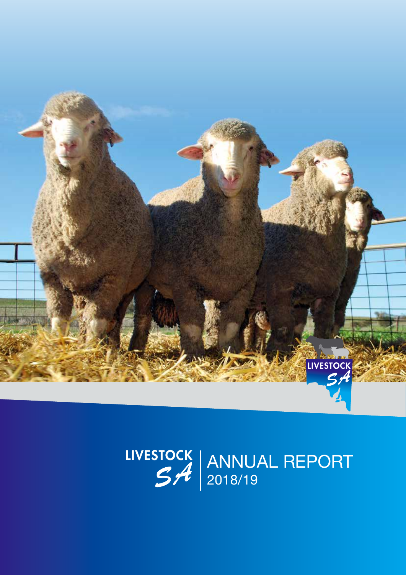

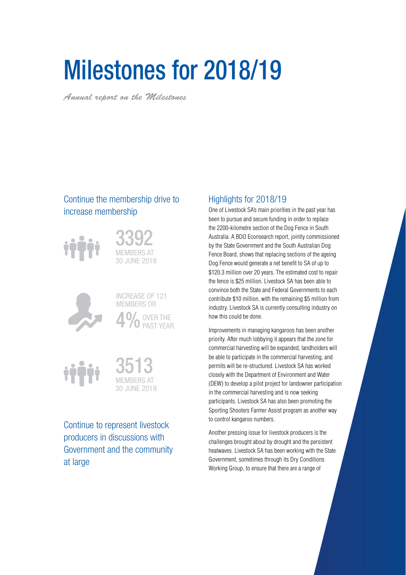# Milestones for 2018/19

*Annual report on the Milestones*

## Continue the membership drive to increase membership



3392 MEMBERS AT 30 JUNE 2018



INCREASE OF 121 MEMBERS OR 4<sup>0</sup><sup>OVER THE PAST YEAR.</sup>





Continue to represent livestock producers in discussions with Government and the community at large

## Highlights for 2018/19

One of Livestock SA's main priorities in the past year has been to pursue and secure funding in order to replace the 2200-kilometre section of the Dog Fence in South Australia. A BDO Econsearch report, jointly commissioned by the State Government and the South Australian Dog Fence Board, shows that replacing sections of the ageing Dog Fence would generate a net benefit to SA of up to \$120.3 million over 20 years. The estimated cost to repair the fence is \$25 million. Livestock SA has been able to convince both the State and Federal Governments to each contribute \$10 million, with the remaining \$5 million from industry. Livestock SA is currently consulting industry on how this could be done.

Improvements in managing kangaroos has been another priority. After much lobbying it appears that the zone for commercial harvesting will be expanded, landholders will be able to participate in the commercial harvesting, and permits will be re-structured. Livestock SA has worked closely with the Department of Environment and Water (DEW) to develop a pilot project for landowner participation in the commercial harvesting and is now seeking participants. Livestock SA has also been promoting the Sporting Shooters Farmer Assist program as another way to control kangaroo numbers.

Another pressing issue for livestock producers is the challenges brought about by drought and the persistent heatwaves. Livestock SA has been working with the State Government, sometimes through its Dry Conditions Working Group, to ensure that there are a range of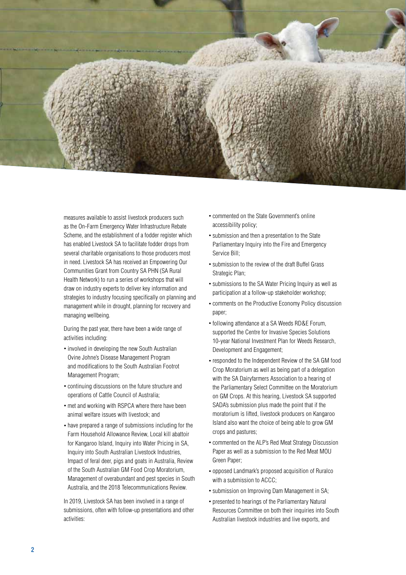

measures available to assist livestock producers such as the On-Farm Emergency Water Infrastructure Rebate Scheme, and the establishment of a fodder register which has enabled Livestock SA to facilitate fodder drops from several charitable organisations to those producers most in need. Livestock SA has received an Empowering Our Communities Grant from Country SA PHN (SA Rural Health Network) to run a series of workshops that will draw on industry experts to deliver key information and strategies to industry focusing specifically on planning and management while in drought, planning for recovery and managing wellbeing.

During the past year, there have been a wide range of activities including:

- involved in developing the new South Australian Ovine Johne's Disease Management Program and modifications to the South Australian Footrot Management Program;
- continuing discussions on the future structure and operations of Cattle Council of Australia;
- met and working with RSPCA where there have been animal welfare issues with livestock; and
- have prepared a range of submissions including for the Farm Household Allowance Review, Local kill abattoir for Kangaroo Island, Inquiry into Water Pricing in SA, Inquiry into South Australian Livestock Industries, Impact of feral deer, pigs and goats in Australia, Review of the South Australian GM Food Crop Moratorium, Management of overabundant and pest species in South Australia, and the 2018 Telecommunications Review.

In 2019, Livestock SA has been involved in a range of submissions, often with follow-up presentations and other activities:

- commented on the State Government's online accessibility policy;
- submission and then a presentation to the State Parliamentary Inquiry into the Fire and Emergency Service Bill;
- submission to the review of the draft Buffel Grass Strategic Plan;
- submissions to the SA Water Pricing Inquiry as well as participation at a follow-up stakeholder workshop;
- comments on the Productive Economy Policy discussion paper;
- following attendance at a SA Weeds RD&E Forum, supported the Centre for Invasive Species Solutions 10-year National Investment Plan for Weeds Research, Development and Engagement;
- responded to the Independent Review of the SA GM food Crop Moratorium as well as being part of a delegation with the SA Dairyfarmers Association to a hearing of the Parliamentary Select Committee on the Moratorium on GM Crops. At this hearing, Livestock SA supported SADA's submission plus made the point that if the moratorium is lifted, livestock producers on Kangaroo Island also want the choice of being able to grow GM crops and pastures;
- commented on the ALP's Red Meat Strategy Discussion Paper as well as a submission to the Red Meat MOU Green Paper;
- opposed Landmark's proposed acquisition of Ruralco with a submission to ACCC;
- submission on Improving Dam Management in SA;
- presented to hearings of the Parliamentary Natural Resources Committee on both their inquiries into South Australian livestock industries and live exports, and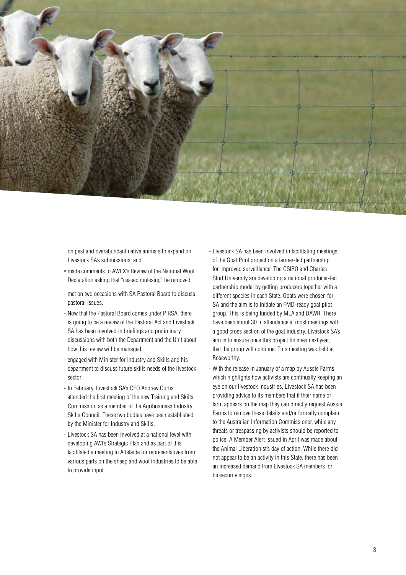

on pest and overabundant native animals to expand on Livestock SA's submissions; and

- made comments to AWEX's Review of the National Wool Declaration asking that "ceased mulesing" be removed.
- met on two occasions with SA Pastoral Board to discuss pastoral issues.
- Now that the Pastoral Board comes under PIRSA, there is going to be a review of the Pastoral Act and Livestock SA has been involved in briefings and preliminary discussions with both the Department and the Unit about how this review will be managed.
- engaged with Minister for Industry and Skills and his department to discuss future skills needs of the livestock sector
- In February, Livestock SA's CEO Andrew Curtis attended the first meeting of the new Training and Skills Commission as a member of the Agribusiness Industry Skills Council. These two bodies have been established by the Minister for Industry and Skills.
- Livestock SA has been involved at a national level with developing AWI's Strategic Plan and as part of this facilitated a meeting in Adelaide for representatives from various parts on the sheep and wool industries to be able to provide input.
- Livestock SA has been involved in facilitating meetings of the Goat Pilot project on a farmer-led partnership for improved surveillance. The CSIRO and Charles Sturt University are developing a national producer-led partnership model by getting producers together with a different species in each State. Goats were chosen for SA and the aim is to initiate an FMD-ready goat pilot group. This is being funded by MLA and DAWR. There have been about 30 in attendance at most meetings with a good cross section of the goat industry. Livestock SA's aim is to ensure once this project finishes next year, that the group will continue. This meeting was held at Roseworthy.
- With the release in January of a map by Aussie Farms, which highlights how activists are continually keeping an eye on our livestock industries, Livestock SA has been providing advice to its members that if their name or farm appears on the map they can directly request Aussie Farms to remove these details and/or formally complain to the Australian Information Commissioner, while any threats or trespassing by activists should be reported to police. A Member Alert issued in April was made about the Animal Liberationist's day of action. While there did not appear to be an activity in this State, there has been an increased demand from Livestock SA members for biosecurity signs.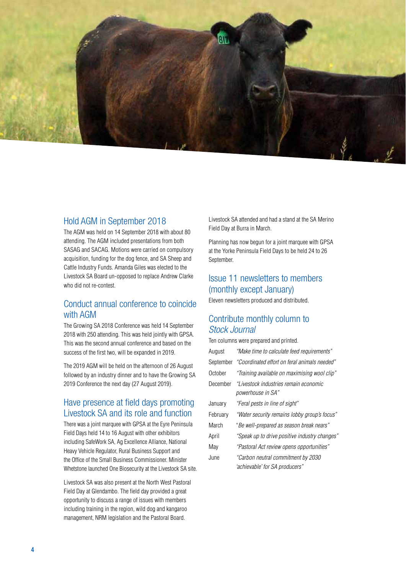

### Hold AGM in September 2018

The AGM was held on 14 September 2018 with about 80 attending. The AGM included presentations from both SASAG and SACAG. Motions were carried on compulsory acquisition, funding for the dog fence, and SA Sheep and Cattle Industry Funds. Amanda Giles was elected to the Livestock SA Board un-opposed to replace Andrew Clarke who did not re-contest.

## Conduct annual conference to coincide with AGM

The Growing SA 2018 Conference was held 14 September 2018 with 250 attending. This was held jointly with GPSA. This was the second annual conference and based on the success of the first two, will be expanded in 2019.

The 2019 AGM will be held on the afternoon of 26 August followed by an industry dinner and to have the Growing SA 2019 Conference the next day (27 August 2019).

## Have presence at field days promoting Livestock SA and its role and function

There was a joint marquee with GPSA at the Eyre Peninsula Field Days held 14 to 16 August with other exhibitors including SafeWork SA, Ag Excellence Alliance, National Heavy Vehicle Regulator, Rural Business Support and the Office of the Small Business Commissioner. Minister Whetstone launched One Biosecurity at the Livestock SA site.

Livestock SA was also present at the North West Pastoral Field Day at Glendambo. The field day provided a great opportunity to discuss a range of issues with members including training in the region, wild dog and kangaroo management, NRM legislation and the Pastoral Board.

Livestock SA attended and had a stand at the SA Merino Field Day at Burra in March.

Planning has now begun for a joint marquee with GPSA at the Yorke Peninsula Field Days to be held 24 to 26 September.

## Issue 11 newsletters to members (monthly except January)

Eleven newsletters produced and distributed.

## Contribute monthly column to *Stock Journal*

Ten columns were prepared and printed.

| August    | "Make time to calculate feed requirements"                          |
|-----------|---------------------------------------------------------------------|
| September | "Coordinated effort on feral animals needed"                        |
| October   | "Training available on maximising wool clip"                        |
| December  | "I ivestock industries remain economic<br>powerhouse in SA"         |
| January   | "Feral pests in line of sight"                                      |
| February  | "Water security remains lobby group's focus"                        |
| March     | "Be well-prepared as season break nears"                            |
| April     | "Speak up to drive positive industry changes"                       |
| May       | "Pastoral Act review opens opportunities"                           |
| June      | "Carbon neutral commitment by 2030<br>"achievable' for SA producers |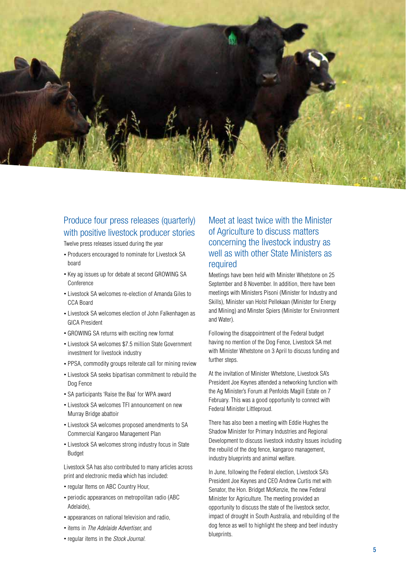

## Produce four press releases (quarterly) with positive livestock producer stories

Twelve press releases issued during the year

- Producers encouraged to nominate for Livestock SA board
- Key ag issues up for debate at second GROWING SA Conference
- Livestock SA welcomes re-election of Amanda Giles to CCA Board
- Livestock SA welcomes election of John Falkenhagen as GICA President
- GROWING SA returns with exciting new format
- Livestock SA welcomes \$7.5 million State Government investment for livestock industry
- PPSA, commodity groups reiterate call for mining review
- Livestock SA seeks bipartisan commitment to rebuild the Dog Fence
- SA participants 'Raise the Baa' for WPA award
- Livestock SA welcomes TFI announcement on new Murray Bridge abattoir
- Livestock SA welcomes proposed amendments to SA Commercial Kangaroo Management Plan
- Livestock SA welcomes strong industry focus in State Budget

Livestock SA has also contributed to many articles across print and electronic media which has included:

- regular Items on ABC Country Hour,
- periodic appearances on metropolitan radio (ABC Adelaide),
- appearances on national television and radio,
- items in *The Adelaide Advertiser,* and
- regular items in the *Stock Journal.*

## Meet at least twice with the Minister of Agriculture to discuss matters concerning the livestock industry as well as with other State Ministers as required

Meetings have been held with Minister Whetstone on 25 September and 8 November. In addition, there have been meetings with Ministers Pisoni (Minister for Industry and Skills), Minister van Holst Pellekaan (Minister for Energy and Mining) and Minster Spiers (Minister for Environment and Water).

Following the disappointment of the Federal budget having no mention of the Dog Fence, Livestock SA met with Minister Whetstone on 3 April to discuss funding and further steps.

At the invitation of Minister Whetstone, Livestock SA's President Joe Keynes attended a networking function with the Ag Minister's Forum at Penfolds Magill Estate on 7 February. This was a good opportunity to connect with Federal Minister Littleproud.

There has also been a meeting with Eddie Hughes the Shadow Minister for Primary Industries and Regional Development to discuss livestock industry Issues including the rebuild of the dog fence, kangaroo management, industry blueprints and animal welfare.

In June, following the Federal election, Livestock SA's President Joe Keynes and CEO Andrew Curtis met with Senator, the Hon. Bridget McKenzie, the new Federal Minister for Agriculture. The meeting provided an opportunity to discuss the state of the livestock sector, impact of drought in South Australia, and rebuilding of the dog fence as well to highlight the sheep and beef industry blueprints.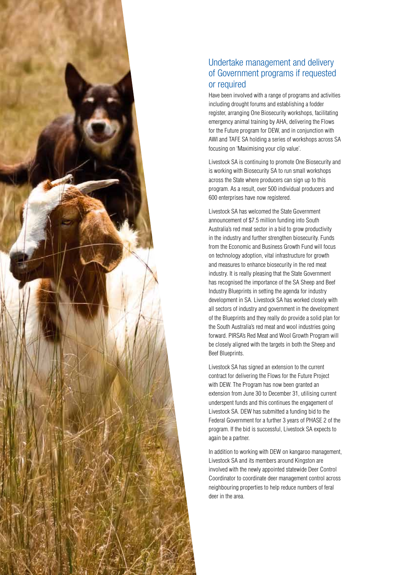

## Undertake management and delivery of Government programs if requested or required

Have been involved with a range of programs and activities including drought forums and establishing a fodder register, arranging One Biosecurity workshops, facilitating emergency animal training by AHA, delivering the Flows for the Future program for DEW, and in conjunction with AWI and TAFE SA holding a series of workshops across SA focusing on 'Maximising your clip value'.

Livestock SA is continuing to promote One Biosecurity and is working with Biosecurity SA to run small workshops across the State where producers can sign up to this program. As a result, over 500 individual producers and 600 enterprises have now registered.

Livestock SA has welcomed the State Government announcement of \$7.5 million funding into South Australia's red meat sector in a bid to grow productivity in the industry and further strengthen biosecurity. Funds from the Economic and Business Growth Fund will focus on technology adoption, vital infrastructure for growth and measures to enhance biosecurity in the red meat industry. It is really pleasing that the State Government has recognised the importance of the SA Sheep and Beef Industry Blueprints in setting the agenda for industry development in SA. Livestock SA has worked closely with all sectors of industry and government in the development of the Blueprints and they really do provide a solid plan for the South Australia's red meat and wool industries going forward. PIRSA's Red Meat and Wool Growth Program will be closely aligned with the targets in both the Sheep and Beef Blueprints.

Livestock SA has signed an extension to the current contract for delivering the Flows for the Future Project with DEW. The Program has now been granted an extension from June 30 to December 31, utilising current underspent funds and this continues the engagement of Livestock SA. DEW has submitted a funding bid to the Federal Government for a further 3 years of PHASE 2 of the program. If the bid is successful, Livestock SA expects to again be a partner.

In addition to working with DEW on kangaroo management, Livestock SA and its members around Kingston are involved with the newly appointed statewide Deer Control Coordinator to coordinate deer management control across neighbouring properties to help reduce numbers of feral deer in the area.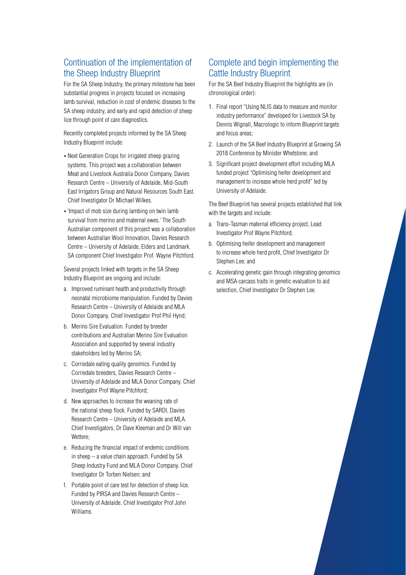## Continuation of the implementation of the Sheep Industry Blueprint

For the SA Sheep Industry, the primary milestone has been substantial progress in projects focused on increasing lamb survival, reduction in cost of endemic diseases to the SA sheep industry, and early and rapid detection of sheep lice through point of care diagnostics.

Recently completed projects informed by the SA Sheep Industry Blueprint include:

- Next Generation Crops for irrigated sheep grazing systems. This project was a collaboration between Meat and Livestock Australia Donor Company, Davies Research Centre – University of Adelaide, Mid-South East Irrigators Group and Natural Resources South East. Chief Investigator Dr Michael Wilkes.
- 'Impact of mob size during lambing on twin lamb survival from merino and maternal ewes.' The South Australian component of this project was a collaboration between Australian Wool Innovation, Davies Research Centre – University of Adelaide, Elders and Landmark. SA component Chief Investigator Prof. Wayne Pitchford.

Several projects linked with targets in the SA Sheep Industry Blueprint are ongoing and include:

- a. Improved ruminant health and productivity through neonatal microbiome manipulation. Funded by Davies Research Centre – University of Adelaide and MLA Donor Company. Chief Investigator Prof Phil Hynd;
- b. Merino Sire Evaluation. Funded by breeder contributions and Australian Merino Sire Evaluation Association and supported by several industry stakeholders led by Merino SA;
- c. Corriedale eating quality genomics. Funded by Corriedale breeders, Davies Research Centre – University of Adelaide and MLA Donor Company. Chief Investigator Prof Wayne Pitchford;
- d. New approaches to increase the weaning rate of the national sheep flock. Funded by SARDI, Davies Research Centre – University of Adelaide and MLA. Chief Investigators, Dr Dave Kleeman and Dr Will van Wettere;
- e. Reducing the financial impact of endemic conditions in sheep – a value chain approach. Funded by SA Sheep Industry Fund and MLA Donor Company. Chief Investigator Dr Torben Nielsen; and
- f. Portable point of care test for detection of sheep lice. Funded by PIRSA and Davies Research Centre – University of Adelaide. Chief Investigator Prof John Williams.

## Complete and begin implementing the Cattle Industry Blueprint

For the SA Beef Industry Blueprint the highlights are (in chronological order):

- 1. Final report "Using NLIS data to measure and monitor industry performance" developed for Livestock SA by Dennis Wignall, Macrologic to inform Blueprint targets and focus areas;
- 2. Launch of the SA Beef Industry Blueprint at Growing SA 2018 Conference by Minister Whetstone; and
- 3. Significant project development effort including MLA funded project "Optimising heifer development and management to increase whole herd profit" led by University of Adelaide.

The Beef Blueprint has several projects established that link with the targets and include:

- a. Trans-Tasman maternal efficiency project, Lead Investigator Prof Wayne Pitchford;
- b. Optimising heifer development and management to increase whole herd profit, Chief Investigator Dr Stephen Lee; and
- c. Accelerating genetic gain through integrating genomics and MSA carcass traits in genetic evaluation to aid selection, Chief Investigator Dr Stephen Lee.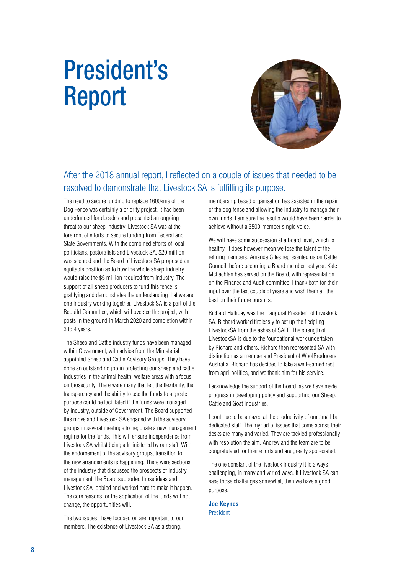## President's Report



## After the 2018 annual report, I reflected on a couple of issues that needed to be resolved to demonstrate that Livestock SA is fulfilling its purpose.

The need to secure funding to replace 1600kms of the Dog Fence was certainly a priority project. It had been underfunded for decades and presented an ongoing threat to our sheep industry. Livestock SA was at the forefront of efforts to secure funding from Federal and State Governments. With the combined efforts of local politicians, pastoralists and Livestock SA, \$20 million was secured and the Board of Livestock SA proposed an equitable position as to how the whole sheep industry would raise the \$5 million required from industry. The support of all sheep producers to fund this fence is gratifying and demonstrates the understanding that we are one industry working together. Livestock SA is a part of the Rebuild Committee, which will oversee the project, with posts in the ground in March 2020 and completion within 3 to 4 years.

The Sheep and Cattle industry funds have been managed within Government, with advice from the Ministerial appointed Sheep and Cattle Advisory Groups. They have done an outstanding job in protecting our sheep and cattle industries in the animal health, welfare areas with a focus on biosecurity. There were many that felt the flexibility, the transparency and the ability to use the funds to a greater purpose could be facilitated if the funds were managed by industry, outside of Government. The Board supported this move and Livestock SA engaged with the advisory groups in several meetings to negotiate a new management regime for the funds. This will ensure independence from Livestock SA whilst being administered by our staff. With the endorsement of the advisory groups, transition to the new arrangements is happening. There were sections of the industry that discussed the prospects of industry management, the Board supported those ideas and Livestock SA lobbied and worked hard to make it happen. The core reasons for the application of the funds will not change, the opportunities will.

The two issues I have focused on are important to our members. The existence of Livestock SA as a strong,

membership based organisation has assisted in the repair of the dog fence and allowing the industry to manage their own funds. I am sure the results would have been harder to achieve without a 3500-member single voice.

We will have some succession at a Board level, which is healthy. It does however mean we lose the talent of the retiring members. Amanda Giles represented us on Cattle Council, before becoming a Board member last year. Kate McLachlan has served on the Board, with representation on the Finance and Audit committee. I thank both for their input over the last couple of years and wish them all the best on their future pursuits.

Richard Halliday was the inaugural President of Livestock SA. Richard worked tirelessly to set up the fledgling LivestockSA from the ashes of SAFF. The strength of LivestockSA is due to the foundational work undertaken by Richard and others. Richard then represented SA with distinction as a member and President of WoolProducers Australia. Richard has decided to take a well-earned rest from agri-politics, and we thank him for his service.

I acknowledge the support of the Board, as we have made progress in developing policy and supporting our Sheep, Cattle and Goat industries.

I continue to be amazed at the productivity of our small but dedicated staff. The myriad of issues that come across their desks are many and varied. They are tackled professionally with resolution the aim. Andrew and the team are to be congratulated for their efforts and are greatly appreciated.

The one constant of the livestock industry it is always challenging, in many and varied ways. If Livestock SA can ease those challenges somewhat, then we have a good purpose.

#### **Joe Keynes** President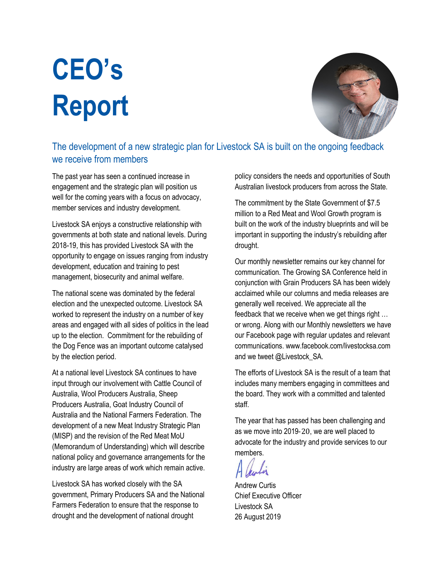# **CEO's Report**



## The development of a new strategic plan for Livestock SA is built on the ongoing feedback we receive from members

The past year has seen a continued increase in engagement and the strategic plan will position us well for the coming years with a focus on advocacy, member services and industry development.

Livestock SA enjoys a constructive relationship with governments at both state and national levels. During 2018-19, this has provided Livestock SA with the opportunity to engage on issues ranging from industry development, education and training to pest management, biosecurity and animal welfare.

The national scene was dominated by the federal election and the unexpected outcome. Livestock SA worked to represent the industry on a number of key areas and engaged with all sides of politics in the lead up to the election. Commitment for the rebuilding of the Dog Fence was an important outcome catalysed by the election period.

At a national level Livestock SA continues to have input through our involvement with Cattle Council of Australia, Wool Producers Australia, Sheep Producers Australia, Goat Industry Council of Australia and the National Farmers Federation. The development of a new Meat Industry Strategic Plan (MISP) and the revision of the Red Meat MoU (Memorandum of Understanding) which will describe national policy and governance arrangements for the industry are large areas of work which remain active.

Livestock SA has worked closely with the SA government, Primary Producers SA and the National Farmers Federation to ensure that the response to drought and the development of national drought

policy considers the needs and opportunities of South Australian livestock producers from across the State.

The commitment by the State Government of \$7.5 million to a Red Meat and Wool Growth program is built on the work of the industry blueprints and will be important in supporting the industry's rebuilding after drought.

Our monthly newsletter remains our key channel for communication. The Growing SA Conference held in conjunction with Grain Producers SA has been widely acclaimed while our columns and media releases are generally well received. We appreciate all the feedback that we receive when we get things right … or wrong. Along with our Monthly newsletters we have our Facebook page with regular updates and relevant communications. www.facebook.com/livestocksa.com and we tweet @Livestock SA.

The efforts of Livestock SA is the result of a team that includes many members engaging in committees and the board. They work with a committed and talented staff.

The year that has passed has been challenging and as we move into 2019‐20, we are well placed to advocate for the industry and provide services to our members.

Andrew Curtis Chief Executive Officer Livestock SA 26 August 2019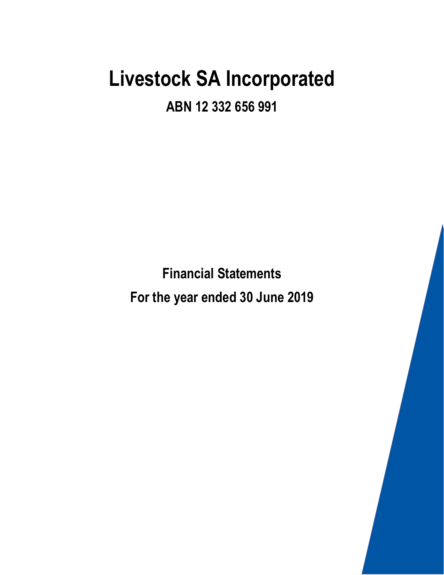**ABN 12 332 656 991**

**Financial Statements For the year ended 30 June 2019**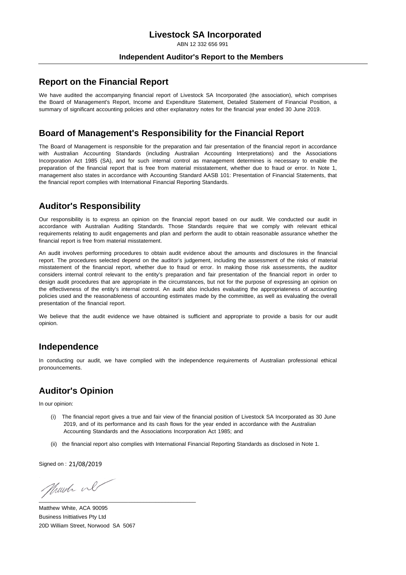ABN 12 332 656 991

#### **Independent Auditor's Report to the Members**

#### **Report on the Financial Report**

We have audited the accompanying financial report of Livestock SA Incorporated (the association), which comprises the Board of Management's Report, Income and Expenditure Statement, Detailed Statement of Financial Position, a summary of significant accounting policies and other explanatory notes for the financial year ended 30 June 2019.

#### **Board of Management's Responsibility for the Financial Report**

The Board of Management is responsible for the preparation and fair presentation of the financial report in accordance with Australian Accounting Standards (including Australian Accounting Interpretations) and the Associations Incorporation Act 1985 (SA), and for such internal control as management determines is necessary to enable the preparation of the financial report that is free from material misstatement, whether due to fraud or error. In Note 1, management also states in accordance with Accounting Standard AASB 101: Presentation of Financial Statements, that the financial report complies with International Financial Reporting Standards.

## **Auditor's Responsibility**

Our responsibility is to express an opinion on the financial report based on our audit. We conducted our audit in accordance with Australian Auditing Standards. Those Standards require that we comply with relevant ethical requirements relating to audit engagements and plan and perform the audit to obtain reasonable assurance whether the financial report is free from material misstatement.

An audit involves performing procedures to obtain audit evidence about the amounts and disclosures in the financial report. The procedures selected depend on the auditor's judgement, including the assessment of the risks of material misstatement of the financial report, whether due to fraud or error. In making those risk assessments, the auditor considers internal control relevant to the entity's preparation and fair presentation of the financial report in order to design audit procedures that are appropriate in the circumstances, but not for the purpose of expressing an opinion on the effectiveness of the entity's internal control. An audit also includes evaluating the appropriateness of accounting policies used and the reasonableness of accounting estimates made by the committee, as well as evaluating the overall presentation of the financial report.

We believe that the audit evidence we have obtained is sufficient and appropriate to provide a basis for our audit opinion.

#### **Independence**

In conducting our audit, we have complied with the independence requirements of Australian professional ethical pronouncements.

## **Auditor's Opinion**

In our opinion:

- (i) The financial report gives a true and fair view of the financial position of Livestock SA Incorporated as 30 June 2019, and of its performance and its cash flows for the year ended in accordance with the Australian Accounting Standards and the Associations Incorporation Act 1985; and
- (ii) the financial report also complies with International Financial Reporting Standards as disclosed in Note 1.

Signed on : 21/08/2019

Munch ul \_\_\_\_\_\_\_\_\_\_\_\_\_\_\_\_\_\_\_\_\_\_\_\_\_\_\_\_\_\_\_\_\_\_\_\_\_\_\_\_\_\_\_\_\_\_\_\_\_\_\_

Matthew White, ACA 90095 Business Inittiatives Pty Ltd 20D William Street, Norwood SA 5067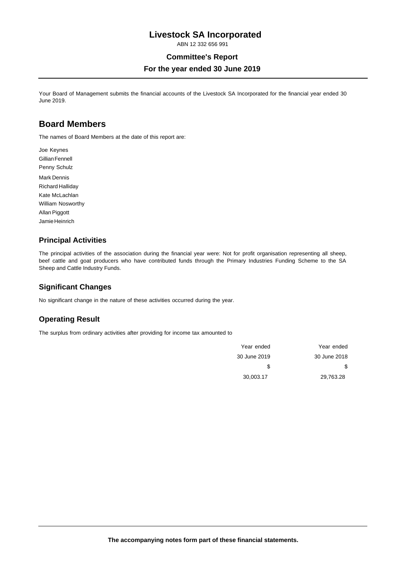ABN 12 332 656 991

#### **Committee's Report**

#### **For the year ended 30 June 2019**

Your Board of Management submits the financial accounts of the Livestock SA Incorporated for the financial year ended 30 June 2019.

### **Board Members**

The names of Board Members at the date of this report are:

Joe Keynes Gillian Fennell Penny Schulz Mark Dennis Richard Halliday Kate McLachlan William Nosworthy Allan Piggott Jamie Heinrich

#### **Principal Activities**

The principal activities of the association during the financial year were: Not for profit organisation representing all sheep, beef cattle and goat producers who have contributed funds through the Primary Industries Funding Scheme to the SA Sheep and Cattle Industry Funds.

#### **Significant Changes**

No significant change in the nature of these activities occurred during the year.

#### **Operating Result**

The surplus from ordinary activities after providing for income tax amounted to

| Year ended   | Year ended   |
|--------------|--------------|
| 30 June 2018 | 30 June 2019 |
| \$           | S            |
| 29.763.28    | 30.003.17    |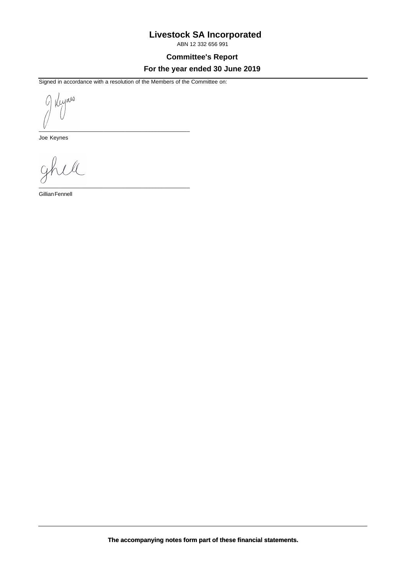ABN 12 332 656 991

**Committee's Report**

#### **For the year ended 30 June 2019**

Signed in accordance with a resolution of the Members of the Committee on:

\_\_\_\_\_\_\_\_\_\_\_\_\_\_\_\_\_\_\_\_\_\_\_\_\_\_\_\_\_\_\_\_\_\_\_\_\_\_\_\_\_\_\_\_\_\_\_\_\_

Reynes b \_\_\_\_\_\_\_\_\_\_\_\_\_\_\_\_\_\_\_\_\_\_\_\_\_\_\_\_\_\_\_\_\_\_\_\_\_\_\_\_\_\_\_\_\_\_\_\_\_

Joe Keynes

 $\overline{\mathcal{U}}$  $Q_1$ 

Gillian Fennell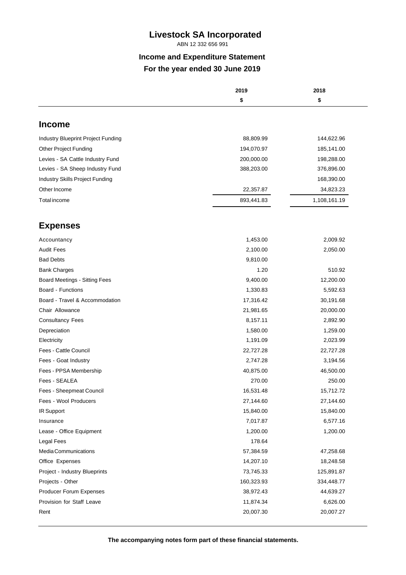ABN 12 332 656 991

## **Income and Expenditure Statement For the year ended 30 June 2019**

| \$<br><b>Income</b><br>Industry Blueprint Project Funding<br><b>Other Project Funding</b><br>Levies - SA Cattle Industry Fund<br>Levies - SA Sheep Industry Fund<br>Industry Skills Project Funding<br>Other Income<br>Total income<br><b>Expenses</b><br>Accountancy |            | 2018         |
|-----------------------------------------------------------------------------------------------------------------------------------------------------------------------------------------------------------------------------------------------------------------------|------------|--------------|
|                                                                                                                                                                                                                                                                       |            | \$           |
|                                                                                                                                                                                                                                                                       |            |              |
|                                                                                                                                                                                                                                                                       |            |              |
|                                                                                                                                                                                                                                                                       | 88,809.99  | 144,622.96   |
|                                                                                                                                                                                                                                                                       | 194,070.97 | 185,141.00   |
|                                                                                                                                                                                                                                                                       | 200,000.00 | 198,288.00   |
|                                                                                                                                                                                                                                                                       | 388,203.00 | 376,896.00   |
|                                                                                                                                                                                                                                                                       |            | 168,390.00   |
|                                                                                                                                                                                                                                                                       | 22,357.87  | 34,823.23    |
|                                                                                                                                                                                                                                                                       | 893,441.83 | 1,108,161.19 |
|                                                                                                                                                                                                                                                                       |            |              |
|                                                                                                                                                                                                                                                                       |            |              |
|                                                                                                                                                                                                                                                                       | 1,453.00   | 2,009.92     |
| <b>Audit Fees</b>                                                                                                                                                                                                                                                     | 2,100.00   | 2,050.00     |
| <b>Bad Debts</b>                                                                                                                                                                                                                                                      | 9,810.00   |              |
| <b>Bank Charges</b>                                                                                                                                                                                                                                                   | 1.20       | 510.92       |
| Board Meetings - Sitting Fees                                                                                                                                                                                                                                         | 9,400.00   | 12,200.00    |
| Board - Functions                                                                                                                                                                                                                                                     | 1,330.83   | 5,592.63     |
| Board - Travel & Accommodation                                                                                                                                                                                                                                        | 17,316.42  | 30,191.68    |
| Chair Allowance                                                                                                                                                                                                                                                       | 21,981.65  | 20,000.00    |
| <b>Consultancy Fees</b>                                                                                                                                                                                                                                               | 8,157.11   | 2,892.90     |
| Depreciation                                                                                                                                                                                                                                                          | 1,580.00   | 1,259.00     |
| Electricity                                                                                                                                                                                                                                                           | 1,191.09   | 2,023.99     |
| Fees - Cattle Council                                                                                                                                                                                                                                                 | 22,727.28  | 22,727.28    |
| Fees - Goat Industry                                                                                                                                                                                                                                                  | 2,747.28   | 3,194.56     |
| Fees - PPSA Membership                                                                                                                                                                                                                                                | 40,875.00  | 46,500.00    |
| Fees - SEALEA                                                                                                                                                                                                                                                         | 270.00     | 250.00       |
| Fees - Sheepmeat Council                                                                                                                                                                                                                                              | 16,531.48  | 15,712.72    |
| Fees - Wool Producers                                                                                                                                                                                                                                                 | 27,144.60  | 27,144.60    |
| IR Support                                                                                                                                                                                                                                                            | 15,840.00  | 15,840.00    |
| Insurance                                                                                                                                                                                                                                                             | 7,017.87   | 6,577.16     |
| Lease - Office Equipment                                                                                                                                                                                                                                              | 1,200.00   | 1,200.00     |
| Legal Fees                                                                                                                                                                                                                                                            | 178.64     |              |
| Media Communications                                                                                                                                                                                                                                                  | 57,384.59  | 47,258.68    |
| Office Expenses                                                                                                                                                                                                                                                       | 14,207.10  | 18,248.58    |
| Project - Industry Blueprints                                                                                                                                                                                                                                         |            | 125,891.87   |
| Projects - Other                                                                                                                                                                                                                                                      | 73,745.33  |              |
| Producer Forum Expenses                                                                                                                                                                                                                                               | 160,323.93 | 334,448.77   |
| Provision for Staff Leave                                                                                                                                                                                                                                             | 38,972.43  | 44,639.27    |
| 20,007.30<br>Rent                                                                                                                                                                                                                                                     | 11,874.34  | 6,626.00     |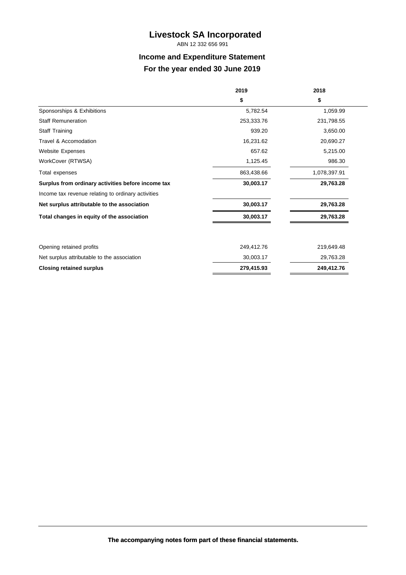ABN 12 332 656 991

## **Income and Expenditure Statement For the year ended 30 June 2019**

|                                                    | 2019       | 2018         |
|----------------------------------------------------|------------|--------------|
|                                                    | \$         | \$           |
| Sponsorships & Exhibitions                         | 5,782.54   | 1,059.99     |
| <b>Staff Remuneration</b>                          | 253,333.76 | 231,798.55   |
| Staff Training                                     | 939.20     | 3,650.00     |
| Travel & Accomodation                              | 16,231.62  | 20,690.27    |
| <b>Website Expenses</b>                            | 657.62     | 5,215.00     |
| WorkCover (RTWSA)                                  | 1,125.45   | 986.30       |
| Total expenses                                     | 863,438.66 | 1,078,397.91 |
| Surplus from ordinary activities before income tax | 30,003.17  | 29,763.28    |
| Income tax revenue relating to ordinary activities |            |              |
| Net surplus attributable to the association        | 30,003.17  | 29,763.28    |
| Total changes in equity of the association         | 30,003.17  | 29,763.28    |
|                                                    |            |              |
| Opening retained profits                           | 249,412.76 | 219,649.48   |
| Net surplus attributable to the association        | 30,003.17  | 29,763.28    |
| <b>Closing retained surplus</b>                    | 279,415.93 | 249,412.76   |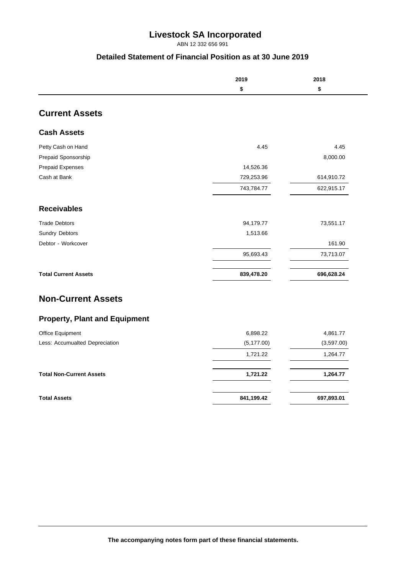ABN 12 332 656 991

#### **Detailed Statement of Financial Position as at 30 June 2019**

|                                      | 2019        | 2018       |
|--------------------------------------|-------------|------------|
|                                      | \$          | \$         |
| <b>Current Assets</b>                |             |            |
| <b>Cash Assets</b>                   |             |            |
| Petty Cash on Hand                   | 4.45        | 4.45       |
| Prepaid Sponsorship                  |             | 8,000.00   |
| Prepaid Expenses                     | 14,526.36   |            |
| Cash at Bank                         | 729,253.96  | 614,910.72 |
|                                      | 743,784.77  | 622,915.17 |
| <b>Receivables</b>                   |             |            |
| <b>Trade Debtors</b>                 | 94,179.77   | 73,551.17  |
| Sundry Debtors                       | 1,513.66    |            |
| Debtor - Workcover                   |             | 161.90     |
|                                      | 95,693.43   | 73,713.07  |
| <b>Total Current Assets</b>          | 839,478.20  | 696,628.24 |
| <b>Non-Current Assets</b>            |             |            |
| <b>Property, Plant and Equipment</b> |             |            |
| Office Equipment                     | 6,898.22    | 4,861.77   |
| Less: Accumualted Depreciation       | (5, 177.00) | (3,597.00) |
|                                      | 1,721.22    | 1,264.77   |
| <b>Total Non-Current Assets</b>      | 1,721.22    | 1,264.77   |
|                                      |             |            |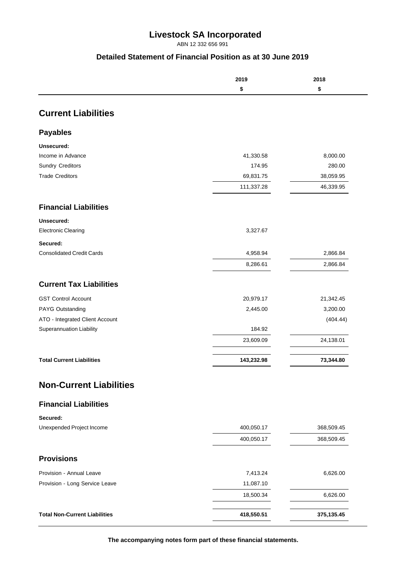ABN 12 332 656 991

#### **Detailed Statement of Financial Position as at 30 June 2019**

|                                  | 2019       | 2018       |
|----------------------------------|------------|------------|
|                                  | \$         | \$         |
| <b>Current Liabilities</b>       |            |            |
|                                  |            |            |
| <b>Payables</b>                  |            |            |
| Unsecured:<br>Income in Advance  | 41,330.58  | 8,000.00   |
| <b>Sundry Creditors</b>          | 174.95     | 280.00     |
| <b>Trade Creditors</b>           | 69,831.75  | 38,059.95  |
|                                  | 111,337.28 | 46,339.95  |
| <b>Financial Liabilities</b>     |            |            |
| Unsecured:                       |            |            |
| <b>Electronic Clearing</b>       | 3,327.67   |            |
| Secured:                         |            |            |
| <b>Consolidated Credit Cards</b> | 4,958.94   | 2,866.84   |
|                                  | 8,286.61   | 2,866.84   |
| <b>Current Tax Liabilities</b>   |            |            |
| <b>GST Control Account</b>       | 20,979.17  | 21,342.45  |
| PAYG Outstanding                 | 2,445.00   | 3,200.00   |
| ATO - Integrated Client Account  |            | (404.44)   |
| Superannuation Liability         | 184.92     |            |
|                                  | 23,609.09  | 24,138.01  |
| <b>Total Current Liabilities</b> | 143,232.98 | 73,344.80  |
| <b>Non-Current Liabilities</b>   |            |            |
| <b>Financial Liabilities</b>     |            |            |
| Secured:                         |            |            |
| Unexpended Project Income        | 400,050.17 | 368,509.45 |
|                                  | 400,050.17 | 368,509.45 |
| <b>Provisions</b>                |            |            |
| Provision - Annual Leave         | 7,413.24   | 6,626.00   |
|                                  |            |            |
| Provision - Long Service Leave   | 11,087.10  |            |
|                                  | 18,500.34  | 6,626.00   |

**The accompanying notes form part of these financial statements.**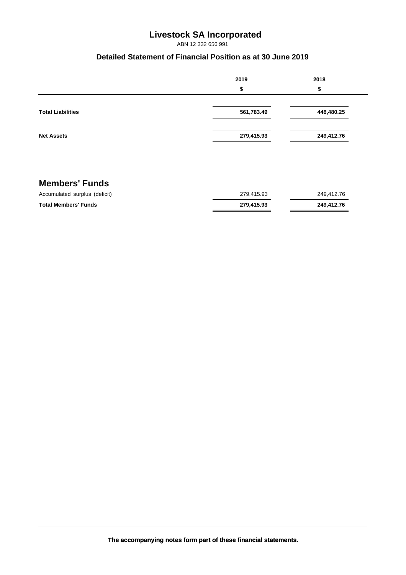ABN 12 332 656 991

#### **Detailed Statement of Financial Position as at 30 June 2019**

|                               | 2019       | 2018       |
|-------------------------------|------------|------------|
|                               | \$         | \$         |
|                               |            |            |
| <b>Total Liabilities</b>      | 561,783.49 | 448,480.25 |
|                               |            |            |
| <b>Net Assets</b>             | 279,415.93 | 249,412.76 |
|                               |            |            |
|                               |            |            |
|                               |            |            |
| <b>Members' Funds</b>         |            |            |
| Accumulated surplus (deficit) | 279,415.93 | 249,412.76 |
| <b>Total Members' Funds</b>   | 279,415.93 | 249,412.76 |

**The accompanying notes form part of these financial statements.**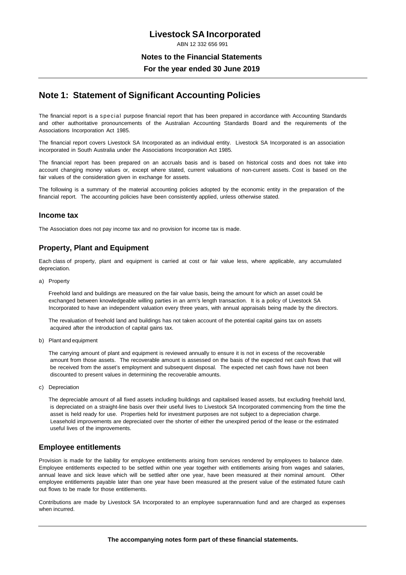ABN 12 332 656 991

#### **Notes to the Financial Statements**

**For the year ended 30 June 2019**

#### **Note 1: Statement of Significant Accounting Policies**

The financial report is a special purpose financial report that has been prepared in accordance with Accounting Standards and other authoritative pronouncements of the Australian Accounting Standards Board and the requirements of the Associations Incorporation Act 1985.

The financial report covers Livestock SA Incorporated as an individual entity. Livestock SA Incorporated is an association incorporated in South Australia under the Associations Incorporation Act 1985.

The financial report has been prepared on an accruals basis and is based on historical costs and does not take into account changing money values or, except where stated, current valuations of non-current assets. Cost is based on the fair values of the consideration given in exchange for assets.

The following is a summary of the material accounting policies adopted by the economic entity in the preparation of the financial report. The accounting policies have been consistently applied, unless otherwise stated.

#### **Income tax**

The Association does not pay income tax and no provision for income tax is made.

#### **Property, Plant and Equipment**

Each class of property, plant and equipment is carried at cost or fair value less, where applicable, any accumulated depreciation.

a) Property

Freehold land and buildings are measured on the fair value basis, being the amount for which an asset could be exchanged between knowledgeable willing parties in an arm's length transaction. It is a policy of Livestock SA Incorporated to have an independent valuation every three years, with annual appraisals being made by the directors.

The revaluation of freehold land and buildings has not taken account of the potential capital gains tax on assets acquired after the introduction of capital gains tax.

b) Plant and equipment

The carrying amount of plant and equipment is reviewed annually to ensure it is not in excess of the recoverable amount from those assets. The recoverable amount is assessed on the basis of the expected net cash flows that will be received from the asset's employment and subsequent disposal. The expected net cash flows have not been discounted to present values in determining the recoverable amounts.

c) Depreciation

The depreciable amount of all fixed assets including buildings and capitalised leased assets, but excluding freehold land, is depreciated on a straight-line basis over their useful lives to Livestock SA Incorporated commencing from the time the asset is held ready for use. Properties held for investment purposes are not subject to a depreciation charge. Leasehold improvements are depreciated over the shorter of either the unexpired period of the lease or the estimated useful lives of the improvements.

#### **Employee entitlements**

Provision is made for the liability for employee entitlements arising from services rendered by employees to balance date. Employee entitlements expected to be settled within one year together with entitlements arising from wages and salaries, annual leave and sick leave which will be settled after one year, have been measured at their nominal amount. Other employee entitlements payable later than one year have been measured at the present value of the estimated future cash out flows to be made for those entitlements.

Contributions are made by Livestock SA Incorporated to an employee superannuation fund and are charged as expenses when incurred.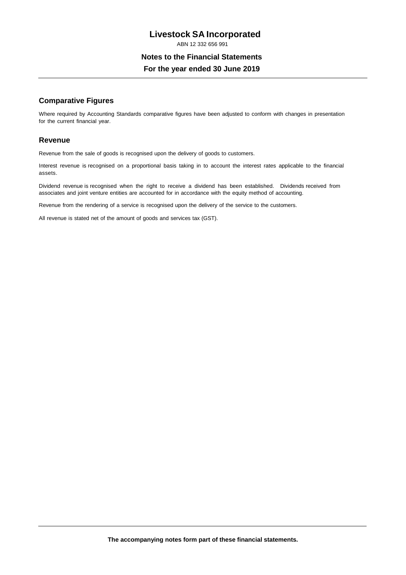ABN 12 332 656 991

#### **Notes to the Financial Statements**

**For the year ended 30 June 2019**

#### **Comparative Figures**

Where required by Accounting Standards comparative figures have been adjusted to conform with changes in presentation for the current financial year.

#### **Revenue**

Revenue from the sale of goods is recognised upon the delivery of goods to customers.

Interest revenue is recognised on a proportional basis taking in to account the interest rates applicable to the financial assets.

Dividend revenue is recognised when the right to receive a dividend has been established. Dividends received from associates and joint venture entities are accounted for in accordance with the equity method of accounting.

Revenue from the rendering of a service is recognised upon the delivery of the service to the customers.

All revenue is stated net of the amount of goods and services tax (GST).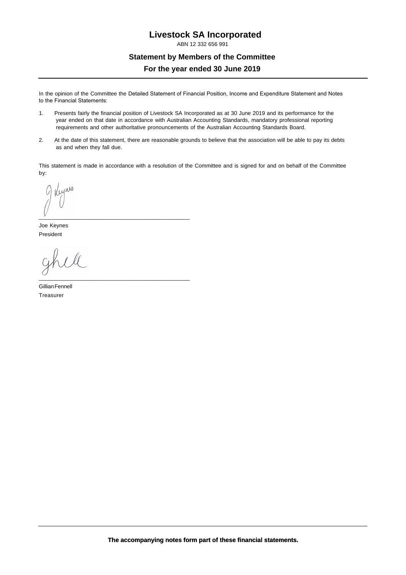ABN 12 332 656 991

## **Statement by Members of the Committee For the year ended 30 June 2019**

In the opinion of the Committee the Detailed Statement of Financial Position, Income and Expenditure Statement and Notes to the Financial Statements:

- 1. Presents fairly the financial position of Livestock SA Incorporated as at 30 June 2019 and its performance for the year ended on that date in accordance with Australian Accounting Standards, mandatory professional reporting requirements and other authoritative pronouncements of the Australian Accounting Standards Board.
- 2. At the date of this statement, there are reasonable grounds to believe that the association will be able to pay its debts as and when they fall due.

This statement is made in accordance with a resolution of the Committee and is signed for and on behalf of the Committee by:

Reynes

Joe Keynes President

\_\_\_\_\_\_\_\_\_\_\_\_\_\_\_\_\_\_\_\_\_\_\_\_\_\_\_\_\_\_\_\_\_\_\_\_\_\_\_\_\_\_\_\_\_\_\_\_\_

\_\_\_\_\_\_\_\_\_\_\_\_\_\_\_\_\_\_\_\_\_\_\_\_\_\_\_\_\_\_\_\_\_\_\_\_\_\_\_\_\_\_\_\_\_\_\_\_\_

Gillian Fennell Treasurer

**The accompanying notes form part of these financial statements.**